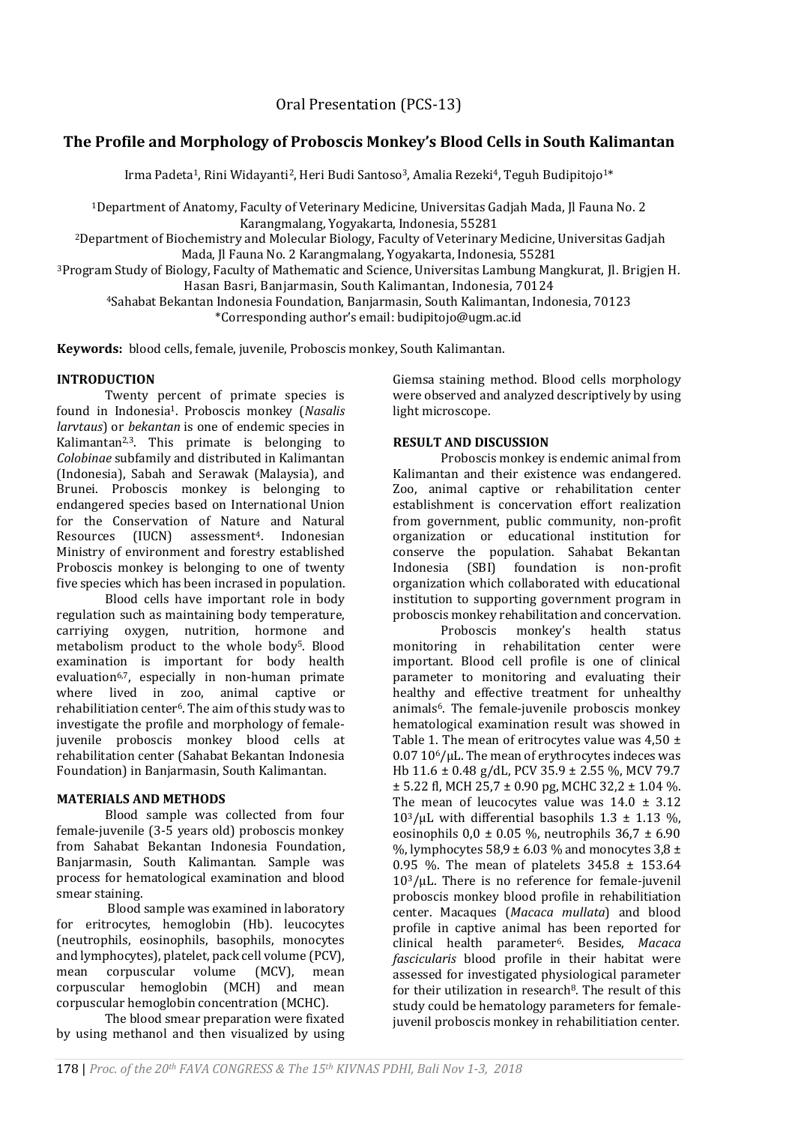Oral Presentation (PCS-13)

# **The Profile and Morphology of Proboscis Monkey's Blood Cells in South Kalimantan**

Irma Padeta<sup>1</sup>, Rini Widayanti<sup>2</sup>, Heri Budi Santoso<sup>3</sup>, Amalia Rezeki<sup>4</sup>, Teguh Budipitojo<sup>1\*</sup>

<sup>1</sup>Department of Anatomy, Faculty of Veterinary Medicine, Universitas Gadjah Mada, Jl Fauna No. 2 Karangmalang, Yogyakarta, Indonesia, 55281

<sup>2</sup>Department of Biochemistry and Molecular Biology, Faculty of Veterinary Medicine, Universitas Gadjah

Mada, Jl Fauna No. 2 Karangmalang, Yogyakarta, Indonesia, 55281

<sup>3</sup>Program Study of Biology, Faculty of Mathematic and Science, Universitas Lambung Mangkurat, Jl. Brigjen H. Hasan Basri, Banjarmasin, South Kalimantan, Indonesia, 70124

<sup>4</sup>Sahabat Bekantan Indonesia Foundation, Banjarmasin, South Kalimantan, Indonesia, 70123 \*Corresponding author's email: budipitojo@ugm.ac.id

**Keywords:** blood cells, female, juvenile, Proboscis monkey, South Kalimantan.

## **INTRODUCTION**

Twenty percent of primate species is found in Indonesia1. Proboscis monkey (*Nasalis larvtaus*) or *bekantan* is one of endemic species in Kalimantan2,3. This primate is belonging to *Colobinae* subfamily and distributed in Kalimantan (Indonesia), Sabah and Serawak (Malaysia), and Brunei. Proboscis monkey is belonging to endangered species based on International Union for the Conservation of Nature and Natural Resources (IUCN) assessment4. Indonesian Ministry of environment and forestry established Proboscis monkey is belonging to one of twenty five species which has been incrased in population.

Blood cells have important role in body regulation such as maintaining body temperature, carriying oxygen, nutrition, hormone and metabolism product to the whole body5. Blood examination is important for body health evaluation<sup>6,7</sup>, especially in non-human primate where lived in zoo, animal captive or rehabilitiation center<sup>6</sup>. The aim of this study was to investigate the profile and morphology of femalejuvenile proboscis monkey blood cells at rehabilitation center (Sahabat Bekantan Indonesia Foundation) in Banjarmasin, South Kalimantan.

## **MATERIALS AND METHODS**

Blood sample was collected from four female-juvenile (3-5 years old) proboscis monkey from Sahabat Bekantan Indonesia Foundation, Banjarmasin, South Kalimantan. Sample was process for hematological examination and blood smear staining.

Blood sample was examined in laboratory for eritrocytes, hemoglobin (Hb). leucocytes (neutrophils, eosinophils, basophils, monocytes and lymphocytes), platelet, pack cell volume (PCV), mean corpuscular volume (MCV), mean corpuscular hemoglobin (MCH) and mean corpuscular hemoglobin concentration (MCHC).

The blood smear preparation were fixated by using methanol and then visualized by using Giemsa staining method. Blood cells morphology were observed and analyzed descriptively by using light microscope.

## **RESULT AND DISCUSSION**

Proboscis monkey is endemic animal from Kalimantan and their existence was endangered. Zoo, animal captive or rehabilitation center establishment is concervation effort realization from government, public community, non-profit organization or educational institution for conserve the population. Sahabat Bekantan Indonesia (SBI) foundation is non-profit organization which collaborated with educational institution to supporting government program in proboscis monkey rehabilitation and concervation.

Proboscis monkey's health status monitoring in rehabilitation center were important. Blood cell profile is one of clinical parameter to monitoring and evaluating their healthy and effective treatment for unhealthy animals<sup>6</sup>. The female-juvenile proboscis monkey hematological examination result was showed in Table 1. The mean of eritrocytes value was  $4,50 \pm 1$ 0.07 106/µL. The mean of erythrocytes indeces was Hb 11.6 ± 0.48 g/dL, PCV 35.9 ± 2.55 %, MCV 79.7  $\pm$  5.22 fl, MCH 25.7  $\pm$  0.90 pg, MCHC 32.2  $\pm$  1.04 %. The mean of leucocytes value was  $14.0 \pm 3.12$  $10^3$ /µL with differential basophils  $1.3 \pm 1.13$  %. eosinophils  $0,0 \pm 0.05$  %, neutrophils  $36.7 \pm 6.90$ %, lymphocytes  $58.9 \pm 6.03$  % and monocytes  $3.8 \pm 1.03$ 0.95 %. The mean of platelets 345.8 ± 153.64 103/µL. There is no reference for female-juvenil proboscis monkey blood profile in rehabilitiation center. Macaques (*Macaca mullata*) and blood profile in captive animal has been reported for clinical health parameter6. Besides, *Macaca fascicularis* blood profile in their habitat were assessed for investigated physiological parameter for their utilization in research<sup>8</sup>. The result of this study could be hematology parameters for femalejuvenil proboscis monkey in rehabilitiation center.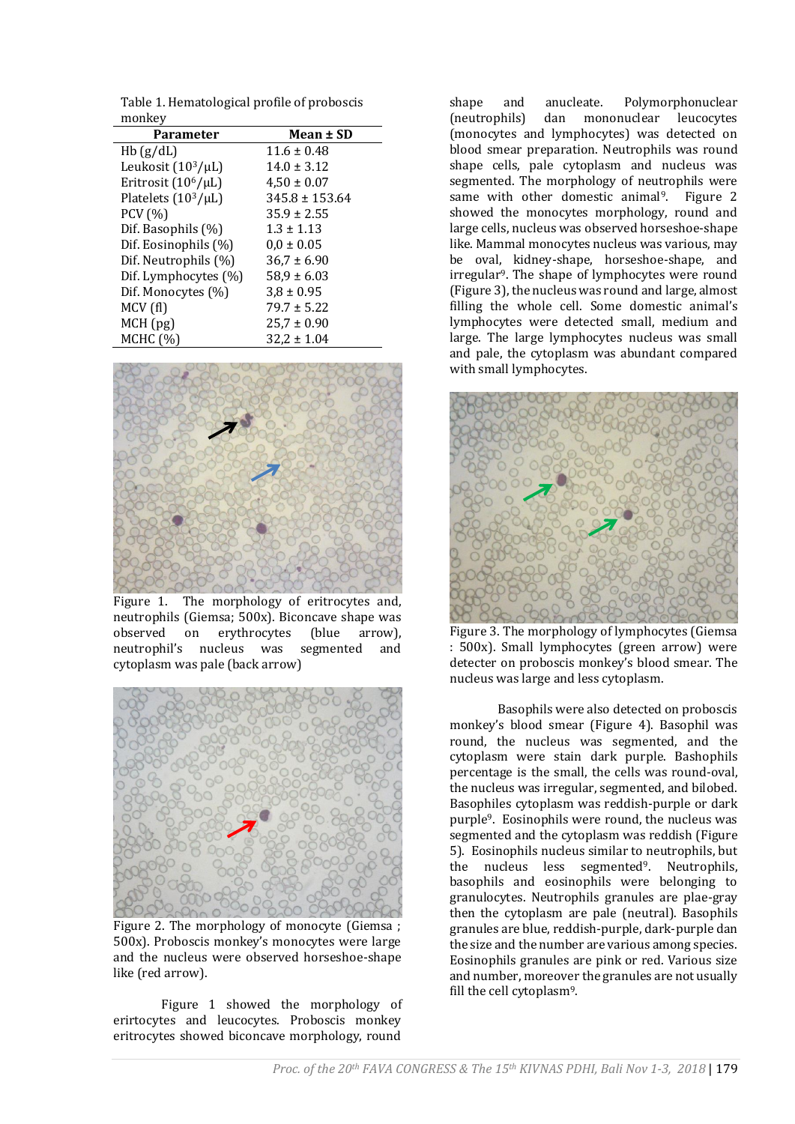Table 1. Hematological profile of proboscis monkey

| <b>Parameter</b>         | Mean ± SD          |
|--------------------------|--------------------|
| Hb(g/dL)                 | $11.6 \pm 0.48$    |
| Leukosit $(10^3/\mu L)$  | $14.0 \pm 3.12$    |
| Eritrosit $(10^6/\mu L)$ | $4,50 \pm 0.07$    |
| Platelets $(10^3/\mu L)$ | $345.8 \pm 153.64$ |
| PCV (%)                  | $35.9 \pm 2.55$    |
| Dif. Basophils (%)       | $1.3 \pm 1.13$     |
| Dif. Eosinophils (%)     | $0.0 \pm 0.05$     |
| Dif. Neutrophils (%)     | $36.7 \pm 6.90$    |
| Dif. Lymphocytes (%)     | $58,9 \pm 6.03$    |
| Dif. Monocytes (%)       | $3,8 \pm 0.95$     |
| MCV(f)                   | $79.7 \pm 5.22$    |
| MCH (pg)                 | $25.7 \pm 0.90$    |
| MCHC (%)                 | $32,2 \pm 1.04$    |



Figure 1. The morphology of eritrocytes and, neutrophils (Giemsa; 500x). Biconcave shape was observed on erythrocytes (blue arrow), neutrophil's nucleus was segmented and cytoplasm was pale (back arrow)



Figure 2. The morphology of monocyte (Giemsa ; 500x). Proboscis monkey's monocytes were large and the nucleus were observed horseshoe-shape like (red arrow).

Figure 1 showed the morphology of erirtocytes and leucocytes. Proboscis monkey eritrocytes showed biconcave morphology, round

shape and anucleate. Polymorphonuclear (neutrophils) dan mononuclear leucocytes (monocytes and lymphocytes) was detected on blood smear preparation. Neutrophils was round shape cells, pale cytoplasm and nucleus was segmented. The morphology of neutrophils were same with other domestic animal<sup>9</sup>. Figure 2 showed the monocytes morphology, round and large cells, nucleus was observed horseshoe-shape like. Mammal monocytes nucleus was various, may be oval, kidney-shape, horseshoe-shape, and irregular9. The shape of lymphocytes were round (Figure 3), the nucleus was round and large, almost filling the whole cell. Some domestic animal's lymphocytes were detected small, medium and large. The large lymphocytes nucleus was small and pale, the cytoplasm was abundant compared with small lymphocytes.



Figure 3. The morphology of lymphocytes (Giemsa : 500x). Small lymphocytes (green arrow) were detecter on proboscis monkey's blood smear. The nucleus was large and less cytoplasm.

Basophils were also detected on proboscis monkey's blood smear (Figure 4). Basophil was round, the nucleus was segmented, and the cytoplasm were stain dark purple. Bashophils percentage is the small, the cells was round-oval, the nucleus was irregular, segmented, and bilobed. Basophiles cytoplasm was reddish-purple or dark purple9. Eosinophils were round, the nucleus was segmented and the cytoplasm was reddish (Figure 5). Eosinophils nucleus similar to neutrophils, but the nucleus less segmented<sup>9</sup>. Neutrophils, basophils and eosinophils were belonging to granulocytes. Neutrophils granules are plae-gray then the cytoplasm are pale (neutral). Basophils granules are blue, reddish-purple, dark-purple dan the size and the number are various among species. Eosinophils granules are pink or red. Various size and number, moreover the granules are not usually fill the cell cytoplasm9.